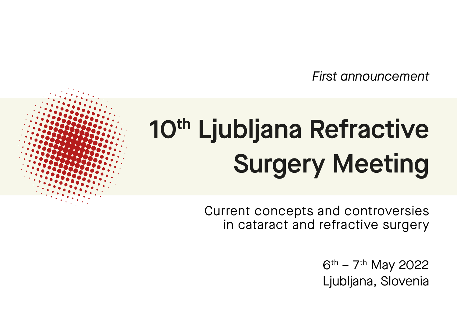*First announcement* 

# 10<sup>th</sup> Ljubljana Refractive Surgery Meeting

Current concepts and controversies in cataract and refractive surgery

> $6^{th}$  – 7<sup>th</sup> May 2022 Ljubljana, Slovenia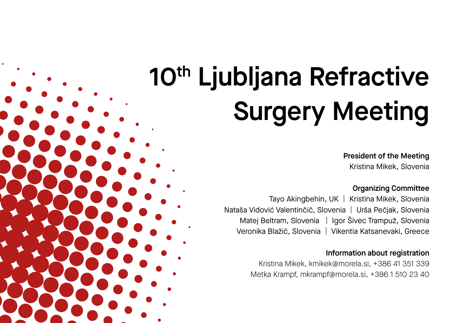# 10<sup>th</sup> Ljubljana Refractive Surgery Meeting

President of the Meeting Kristina Mikek, Slovenia

### Organizing Committee

Tayo Akingbehin, UK ┃ Kristina Mikek, Slovenia Nataša Vidović Valentinčič, Slovenia ┃ Urša Pečjak, Slovenia Matej Beltram, Slovenia ┃ Igor Šivec Trampuž, Slovenia Veronika Blažič, Slovenia ┃ Vikentia Katsanevaki, Greece

#### Information about registration

Kristina Mikek, kmikek@morela.si, +386 41 351 339 Metka Krampf, mkrampf@morela.si, +386 1 510 23 40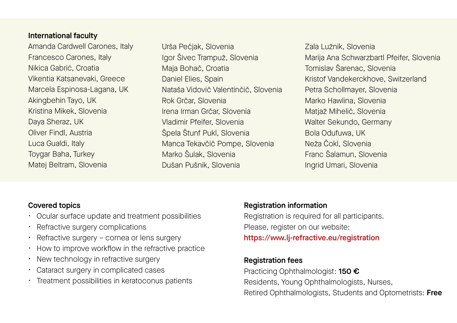### International faculty

Amanda Cardwell Carones, Italy Francesco Carones, Italy Nikica Gabrić, Croatia Vikentia Katsanevaki, Greece Marcela Espinosa-Lagana, UK Akingbehin Tayo, UK Kristina Mikek, Slovenia Daya Sheraz, UK Oliver Findl, Austria Luca Gualdi, Italy Toygar Baha, Turkey Matej Beltram, Slovenia

Urša Pečjak, Slovenia Igor Šivec Trampuž, Slovenia Maja Bohač, Croatia Daniel Elies, Spain Nataša Vidovič Valentinčič, Slovenia Rok Grčar, Slovenia Irena Irman Grčar, Slovenia Vladimir Pfeifer, Slovenia Špela Štunf Pukl, Slovenia Manca Tekavčič Pompe, Slovenia Marko Šulak, Slovenia Dušan Pušnik, Slovenia

Zala Lužnik, Slovenia Marija Ana Schwarzbartl Pfeifer, Slovenia Tomislav Šarenac, Slovenia Kristof Vandekerckhove, Switzerland Petra Schollmayer, Slovenia Marko Hawlina, Slovenia Matjaž Mihelič, Slovenia Walter Sekundo, Germany Bola Odufuwa, UK Neža Čokl, Slovenia Franc Šalamun, Slovenia Ingrid Umari, Slovenia

### Covered topics

- Ocular surface update and treatment possibilities
- Refractive surgery complications
- Refractive surgery cornea or lens surgery
- How to improve workflow in the refractive practice
- New technology in refractive surgery
- Cataract surgery in complicated cases
- Treatment possibilities in keratoconus patients

### Registration information

Registration is required for all participants. Please, register on our website:

## https://www.lj-refractive.eu/registration

### Registration fees

Practicing Ophthalmologist: 150 € Residents, Young Ophthalmologists, Nurses, Retired Ophthalmologists, Students and Optometrists: Free